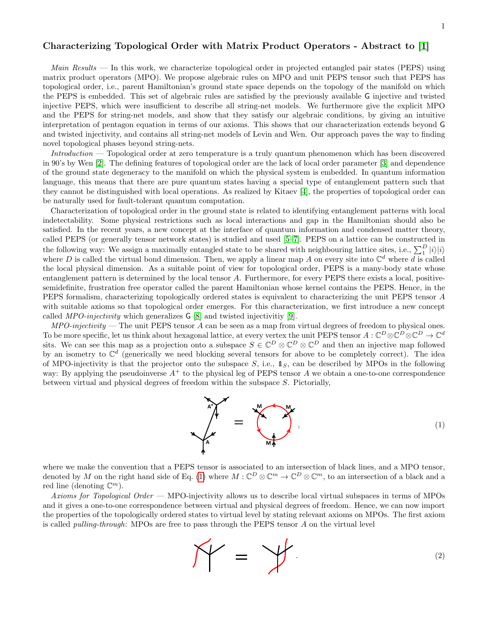## Characterizing Topological Order with Matrix Product Operators - Abstract to [\[1\]](#page-3-0)

*Main Results* — In this work, we characterize topological order in projected entangled pair states (PEPS) using matrix product operators (MPO). We propose algebraic rules on MPO and unit PEPS tensor such that PEPS has topological order, i.e., parent Hamiltonian's ground state space depends on the topology of the manifold on which the PEPS is embedded. This set of algebraic rules are satisfied by the previously available G injective and twisted injective PEPS, which were insufficient to describe all string-net models. We furthermore give the explicit MPO and the PEPS for string-net models, and show that they satisfy our algebraic conditions, by giving an intuitive interpretation of pentagon equation in terms of our axioms. This shows that our characterization extends beyond G and twisted injectivity, and contains all string-net models of Levin and Wen. Our approach paves the way to finding novel topological phases beyond string-nets.

Introduction — Topological order at zero temperature is a truly quantum phenomenon which has been discovered in 90's by Wen [\[2\]](#page-3-1). The defining features of topological order are the lack of local order parameter [\[3\]](#page-3-2) and dependence of the ground state degeneracy to the manifold on which the physical system is embedded. In quantum information language, this means that there are pure quantum states having a special type of entanglement pattern such that they cannot be distinguished with local operations. As realized by Kitaev [\[4\]](#page-3-3), the properties of topological order can be naturally used for fault-tolerant quantum computation.

Characterization of topological order in the ground state is related to identifying entanglement patterns with local indetectability. Some physical restrictions such as local interactions and gap in the Hamiltonian should also be satisfied. In the recent years, a new concept at the interface of quantum information and condensed matter theory, called PEPS (or generally tensor network states) is studied and used [\[5–](#page-3-4)[7\]](#page-3-5). PEPS on a lattice can be constructed in the following way: We assign a maximally entangled state to be shared with neighbouring lattice sites, i.e.,  $\sum_{1}^{D} |i\rangle |i\rangle$ where D is called the virtual bond dimension. Then, we apply a linear map A on every site into  $\mathbb{C}^d$  where d is called the local physical dimension. As a suitable point of view for topological order, PEPS is a many-body state whose entanglement pattern is determined by the local tensor A. Furthermore, for every PEPS there exists a local, positivesemidefinite, frustration free operator called the parent Hamiltonian whose kernel contains the PEPS. Hence, in the PEPS formalism, characterizing topologically ordered states is equivalent to characterizing the unit PEPS tensor A with suitable axioms so that topological order emerges. For this characterization, we first introduce a new concept called *MPO-injectivity* which generalizes  $\mathsf{G}$  [\[8\]](#page-3-6) and twisted injectivitiy [\[9\]](#page-3-7).

 $MPO-injectivity$  — The unit PEPS tensor A can be seen as a map from virtual degrees of freedom to physical ones. To be more specific, let us think about hexagonal lattice, at every vertex the unit PEPS tensor  $A: \mathbb{C}^D\otimes\mathbb{C}^D\otimes\mathbb{C}^D\to\mathbb{C}^d$ sits. We can see this map as a projection onto a subspace  $S \in \mathbb{C}^D \otimes \mathbb{C}^D \otimes \mathbb{C}^D$  and then an injective map followed by an isometry to  $\mathbb{C}^d$  (generically we need blocking several tensors for above to be completely correct). The idea of MPO-injectivity is that the projector onto the subspace  $S$ , i.e.,  $\mathbb{1}_S$ , can be described by MPOs in the following way: By applying the pseudoinverse  $A^+$  to the physical leg of PEPS tensor A we obtain a one-to-one correspondence between virtual and physical degrees of freedom within the subspace S. Pictorially,

<span id="page-0-0"></span>

where we make the convention that a PEPS tensor is associated to an intersection of black lines, and a MPO tensor, denoted by M on the right hand side of Eq. [\(1\)](#page-0-0) where  $M:\mathbb{C}^D\otimes\mathbb{C}^m\to\mathbb{C}^D\otimes\mathbb{C}^m$ , to an intersection of a black and a red line (denoting  $\mathbb{C}^m$ ).

Axioms for Topological Order — MPO-injectivity allows us to describe local virtual subspaces in terms of MPOs and it gives a one-to-one correspondence between virtual and physical degrees of freedom. Hence, we can now import the properties of the topologically ordered states to virtual level by stating relevant axioms on MPOs. The first axiom is called pulling-through: MPOs are free to pass through the PEPS tensor A on the virtual level

<span id="page-0-1"></span>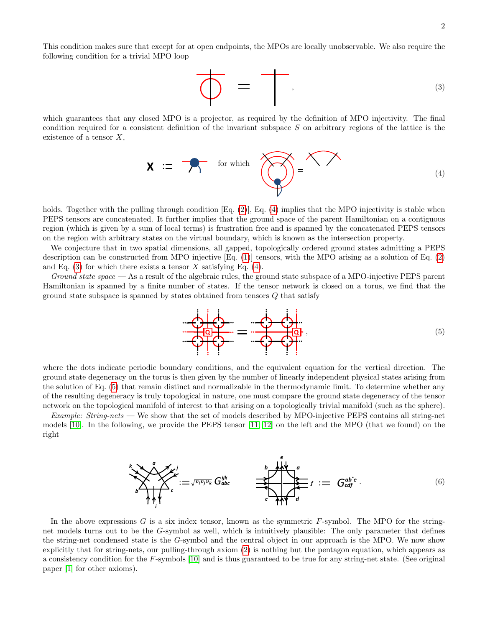This condition makes sure that except for at open endpoints, the MPOs are locally unobservable. We also require the following condition for a trivial MPO loop

<span id="page-1-1"></span>
$$
\overline{\bigoplus_{(3)}}\quad=\quad \overline{\qquad}\ , \qquad \qquad
$$

which guarantees that any closed MPO is a projector, as required by the definition of MPO injectivity. The final condition required for a consistent definition of the invariant subspace S on arbitrary regions of the lattice is the existence of a tensor  $X$ ,

<span id="page-1-0"></span>
$$
\mathbf{X} \; := \; \mathbf{X} \qquad \text{for which} \quad \mathbf{X} \; = \; \mathbf{X} \; \mathbf{X} \tag{4}
$$

holds. Together with the pulling through condition [Eq. [\(2\)](#page-0-1)], Eq. [\(4\)](#page-1-0) implies that the MPO injectivity is stable when PEPS tensors are concatenated. It further implies that the ground space of the parent Hamiltonian on a contiguous region (which is given by a sum of local terms) is frustration free and is spanned by the concatenated PEPS tensors on the region with arbitrary states on the virtual boundary, which is known as the intersection property.

We conjecture that in two spatial dimensions, all gapped, topologically ordered ground states admitting a PEPS description can be constructed from MPO injective [Eq. [\(1\)](#page-0-0)] tensors, with the MPO arising as a solution of Eq. [\(2\)](#page-0-1) and Eq.  $(3)$  for which there exists a tensor X satisfying Eq.  $(4)$ .

Ground state space — As a result of the algebraic rules, the ground state subspace of a MPO-injective PEPS parent Hamiltonian is spanned by a finite number of states. If the tensor network is closed on a torus, we find that the ground state subspace is spanned by states obtained from tensors  $Q$  that satisfy

<span id="page-1-2"></span>

where the dots indicate periodic boundary conditions, and the equivalent equation for the vertical direction. The ground state degeneracy on the torus is then given by the number of linearly independent physical states arising from the solution of Eq. [\(5\)](#page-1-2) that remain distinct and normalizable in the thermodynamic limit. To determine whether any of the resulting degeneracy is truly topological in nature, one must compare the ground state degeneracy of the tensor network on the topological manifold of interest to that arising on a topologically trivial manifold (such as the sphere).

Example: String-nets — We show that the set of models described by MPO-injective PEPS contains all string-net models [\[10\]](#page-3-8). In the following, we provide the PEPS tensor [\[11,](#page-3-9) [12\]](#page-3-10) on the left and the MPO (that we found) on the right

$$
\sum_{k}^{n} \sum_{j}^{n} \sum_{i}^{j} := \sqrt{v_{i}v_{j}v_{k}} G_{abc}^{ijk} \qquad \qquad \sum_{c}^{n} \sum_{\gamma \uparrow \gamma \uparrow \gamma}^{n} f := G_{cdf}^{ab^{\star}e}.
$$
\n
$$
(6)
$$

In the above expressions  $G$  is a six index tensor, known as the symmetric  $F$ -symbol. The MPO for the stringnet models turns out to be the G-symbol as well, which is intuitively plausible: The only parameter that defines the string-net condensed state is the G-symbol and the central object in our approach is the MPO. We now show explicitly that for string-nets, our pulling-through axiom [\(2\)](#page-0-1) is nothing but the pentagon equation, which appears as a consistency condition for the  $F$ -symbols [\[10\]](#page-3-8) and is thus guaranteed to be true for any string-net state. (See original paper [\[1\]](#page-3-0) for other axioms).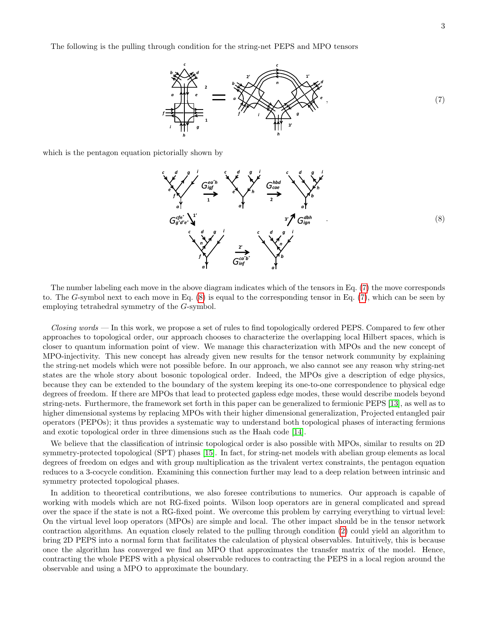The following is the pulling through condition for the string-net PEPS and MPO tensors

<span id="page-2-0"></span>

which is the pentagon equation pictorially shown by

<span id="page-2-1"></span>

The number labeling each move in the above diagram indicates which of the tensors in Eq. [\(7\)](#page-2-0) the move corresponds to. The G-symbol next to each move in Eq. [\(8\)](#page-2-1) is equal to the corresponding tensor in Eq. [\(7\)](#page-2-0), which can be seen by employing tetrahedral symmetry of the G-symbol.

 $\emph{Closing words}$  — In this work, we propose a set of rules to find topologically ordered PEPS. Compared to few other approaches to topological order, our approach chooses to characterize the overlapping local Hilbert spaces, which is closer to quantum information point of view. We manage this characterization with MPOs and the new concept of MPO-injectivity. This new concept has already given new results for the tensor network community by explaining the string-net models which were not possible before. In our approach, we also cannot see any reason why string-net states are the whole story about bosonic topological order. Indeed, the MPOs give a description of edge physics, because they can be extended to the boundary of the system keeping its one-to-one correspondence to physical edge degrees of freedom. If there are MPOs that lead to protected gapless edge modes, these would describe models beyond string-nets. Furthermore, the framework set forth in this paper can be generalized to fermionic PEPS [\[13\]](#page-3-11), as well as to higher dimensional systems by replacing MPOs with their higher dimensional generalization, Projected entangled pair operators (PEPOs); it thus provides a systematic way to understand both topological phases of interacting fermions and exotic topological order in three dimensions such as the Haah code [\[14\]](#page-3-12).

We believe that the classification of intrinsic topological order is also possible with MPOs, similar to results on 2D symmetry-protected topological (SPT) phases [\[15\]](#page-3-13). In fact, for string-net models with abelian group elements as local degrees of freedom on edges and with group multiplication as the trivalent vertex constraints, the pentagon equation reduces to a 3-cocycle condition. Examining this connection further may lead to a deep relation between intrinsic and symmetry protected topological phases.

In addition to theoretical contributions, we also foresee contributions to numerics. Our approach is capable of working with models which are not RG-fixed points. Wilson loop operators are in general complicated and spread over the space if the state is not a RG-fixed point. We overcome this problem by carrying everything to virtual level: On the virtual level loop operators (MPOs) are simple and local. The other impact should be in the tensor network contraction algorithms. An equation closely related to the pulling through condition [\(2\)](#page-0-1) could yield an algorithm to bring 2D PEPS into a normal form that facilitates the calculation of physical observables. Intuitively, this is because once the algorithm has converged we find an MPO that approximates the transfer matrix of the model. Hence, contracting the whole PEPS with a physical observable reduces to contracting the PEPS in a local region around the observable and using a MPO to approximate the boundary.